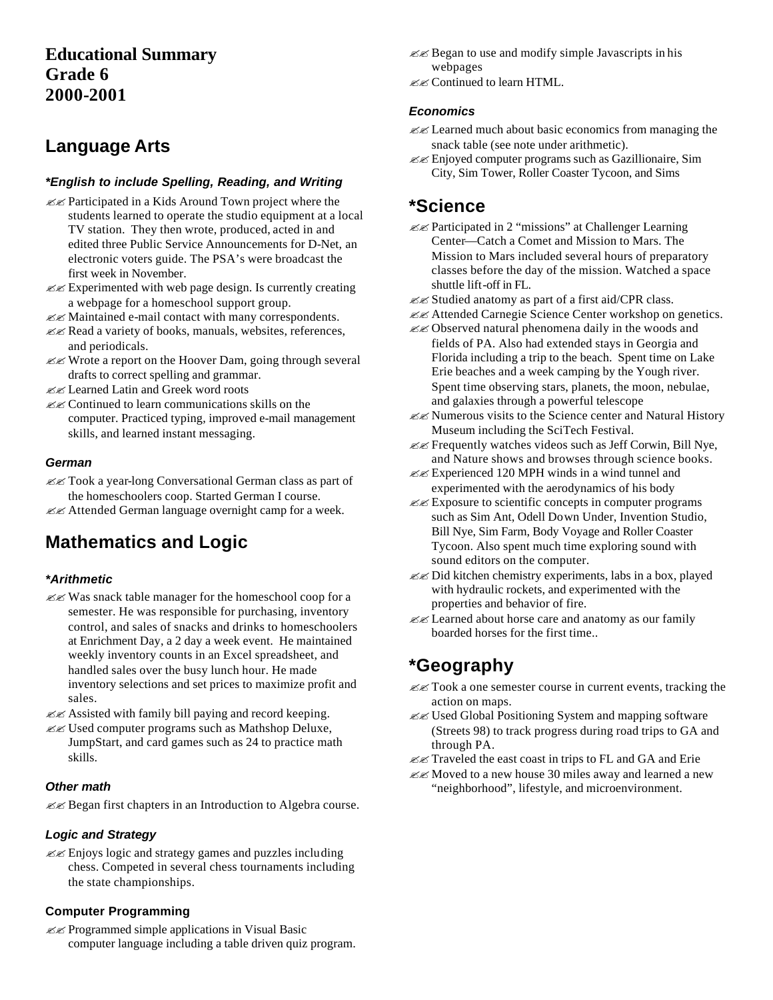### **Educational Summary Grade 6 2000-2001**

## **Language Arts**

### *\*English to include Spelling, Reading, and Writing*

- ?? Participated in a Kids Around Town project where the students learned to operate the studio equipment at a local TV station. They then wrote, produced, acted in and edited three Public Service Announcements for D-Net, an electronic voters guide. The PSA's were broadcast the first week in November.
- $\mathbb{Z} \mathbb{Z}$  Experimented with web page design. Is currently creating a webpage for a homeschool support group.
- $\ll$  Maintained e-mail contact with many correspondents.
- ?? Read a variety of books, manuals, websites, references, and periodicals.
- ?? Wrote a report on the Hoover Dam, going through several drafts to correct spelling and grammar.
- ?? Learned Latin and Greek word roots
- $\ll$  Continued to learn communications skills on the computer. Practiced typing, improved e-mail management skills, and learned instant messaging.

#### *German*

- ?? Took a year-long Conversational German class as part of the homeschoolers coop. Started German I course.
- $\ll$  Attended German language overnight camp for a week.

## **Mathematics and Logic**

### *\*Arithmetic*

- ?? Was snack table manager for the homeschool coop for a semester. He was responsible for purchasing, inventory control, and sales of snacks and drinks to homeschoolers at Enrichment Day, a 2 day a week event. He maintained weekly inventory counts in an Excel spreadsheet, and handled sales over the busy lunch hour. He made inventory selections and set prices to maximize profit and sales.
- $\ll$  Assisted with family bill paying and record keeping.
- ?? Used computer programs such as Mathshop Deluxe, JumpStart, and card games such as 24 to practice math skills.

#### *Other math*

**EE** Began first chapters in an Introduction to Algebra course.

### *Logic and Strategy*

?? Enjoys logic and strategy games and puzzles including chess. Competed in several chess tournaments including the state championships.

### **Computer Programming**

 $\ll$  Programmed simple applications in Visual Basic computer language including a table driven quiz program.

- $\mathscr{B}$  Began to use and modify simple Javascripts in his webpages
- ?? Continued to learn HTML.

### *Economics*

- $\mathcal{Z}$  Learned much about basic economics from managing the snack table (see note under arithmetic).
- ?? Enjoyed computer programs such as Gazillionaire, Sim City, Sim Tower, Roller Coaster Tycoon, and Sims

### **\*Science**

- $\ll$  Participated in 2 "missions" at Challenger Learning Center—Catch a Comet and Mission to Mars. The Mission to Mars included several hours of preparatory classes before the day of the mission. Watched a space shuttle lift-off in FL.
- $\mathcal{Z} \mathcal{Z}$  Studied anatomy as part of a first aid/CPR class.
- ?? Attended Carnegie Science Center workshop on genetics.
- ?? Observed natural phenomena daily in the woods and fields of PA. Also had extended stays in Georgia and Florida including a trip to the beach. Spent time on Lake Erie beaches and a week camping by the Yough river. Spent time observing stars, planets, the moon, nebulae, and galaxies through a powerful telescope
- ?? Numerous visits to the Science center and Natural History Museum including the SciTech Festival.
- ?? Frequently watches videos such as Jeff Corwin, Bill Nye, and Nature shows and browses through science books.
- $\mathcal{Z}$  Experienced 120 MPH winds in a wind tunnel and experimented with the aerodynamics of his body
- $\mathscr{L}\mathscr{L}$  Exposure to scientific concepts in computer programs such as Sim Ant, Odell Down Under, Invention Studio, Bill Nye, Sim Farm, Body Voyage and Roller Coaster Tycoon. Also spent much time exploring sound with sound editors on the computer.
- ?? Did kitchen chemistry experiments, labs in a box, played with hydraulic rockets, and experimented with the properties and behavior of fire.
- ?? Learned about horse care and anatomy as our family boarded horses for the first time..

### **\*Geography**

- ?? Took a one semester course in current events, tracking the action on maps.
- ?? Used Global Positioning System and mapping software (Streets 98) to track progress during road trips to GA and through PA.
- $\mathbb{Z}$  Traveled the east coast in trips to FL and GA and Erie
- $\mathcal{Z}$  Moved to a new house 30 miles away and learned a new "neighborhood", lifestyle, and microenvironment.